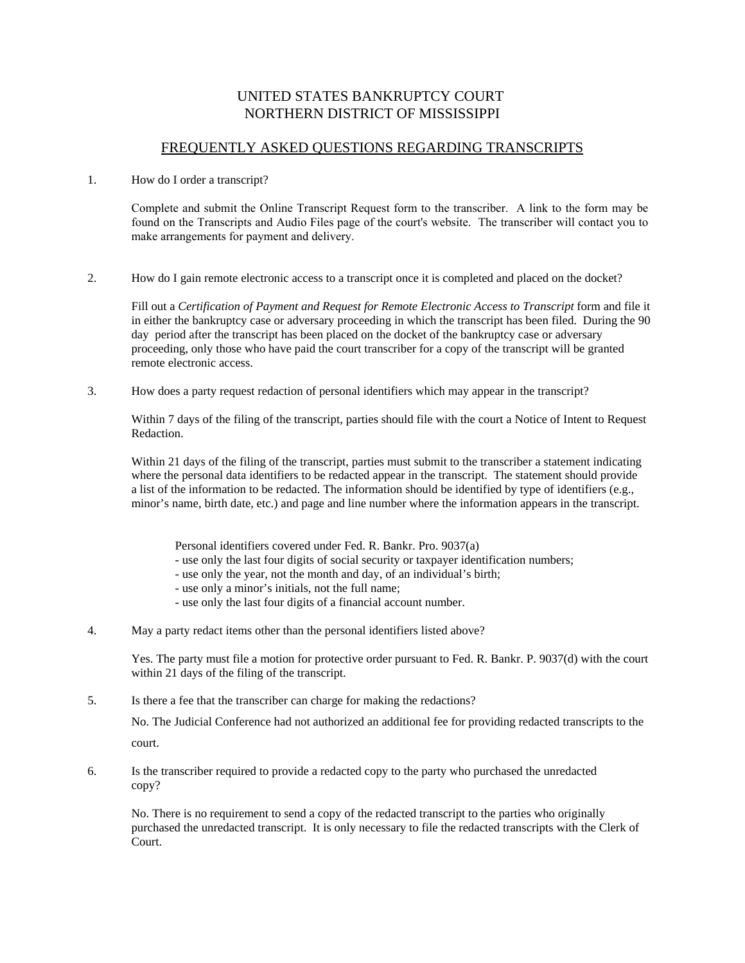## UNITED STATES BANKRUPTCY COURT NORTHERN DISTRICT OF MISSISSIPPI

## FREQUENTLY ASKED QUESTIONS REGARDING TRANSCRIPTS

## 1. How do I order a transcript?

Complete and submit the Online Transcript Request form to the transcriber. A link to the form may be found on the Transcripts and Audio Files page of the court's website. The transcriber will contact you to make arrangements for payment and delivery.

2. How do I gain remote electronic access to a transcript once it is completed and placed on the docket?

Fill out a *Certification of Payment and Request for Remote Electronic Access to Transcript* form and file it in either the bankruptcy case or adversary proceeding in which the transcript has been filed. During the 90 day period after the transcript has been placed on the docket of the bankruptcy case or adversary proceeding, only those who have paid the court transcriber for a copy of the transcript will be granted remote electronic access.

3. How does a party request redaction of personal identifiers which may appear in the transcript?

Within 7 days of the filing of the transcript, parties should file with the court a Notice of Intent to Request Redaction.

Within 21 days of the filing of the transcript, parties must submit to the transcriber a statement indicating where the personal data identifiers to be redacted appear in the transcript. The statement should provide a list of the information to be redacted. The information should be identified by type of identifiers (e.g., minor's name, birth date, etc.) and page and line number where the information appears in the transcript.

- Personal identifiers covered under Fed. R. Bankr. Pro. 9037(a)
- use only the last four digits of social security or taxpayer identification numbers;
- use only the year, not the month and day, of an individual's birth;
- use only a minor's initials, not the full name;
- use only the last four digits of a financial account number.
- 4. May a party redact items other than the personal identifiers listed above?

Yes. The party must file a motion for protective order pursuant to Fed. R. Bankr. P. 9037(d) with the court within 21 days of the filing of the transcript.

5. Is there a fee that the transcriber can charge for making the redactions?

No. The Judicial Conference had not authorized an additional fee for providing redacted transcripts to the court.

6. Is the transcriber required to provide a redacted copy to the party who purchased the unredacted copy?

No. There is no requirement to send a copy of the redacted transcript to the parties who originally purchased the unredacted transcript. It is only necessary to file the redacted transcripts with the Clerk of Court.